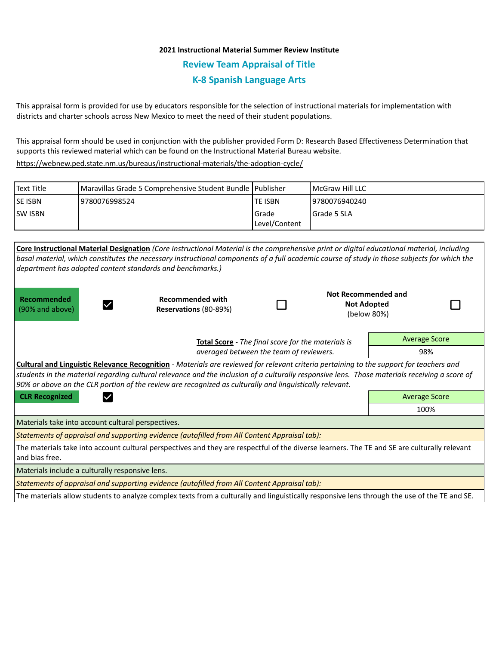## **2021 Instructional Material Summer Review Institute Review Team Appraisal of Title K-8 Spanish Language Arts**

This appraisal form is provided for use by educators responsible for the selection of instructional materials for implementation with districts and charter schools across New Mexico to meet the need of their student populations.

This appraisal form should be used in conjunction with the publisher provided Form D: Research Based Effectiveness Determination that supports this reviewed material which can be found on the Instructional Material Bureau website.

<https://webnew.ped.state.nm.us/bureaus/instructional-materials/the-adoption-cycle/>

| Text Title     | Maravillas Grade 5 Comprehensive Student Bundle   Publisher |               | <b>IMcGraw Hill LLC</b> |
|----------------|-------------------------------------------------------------|---------------|-------------------------|
| <b>SE ISBN</b> | 19780076998524                                              | lte ISBN      | 19780076940240          |
| <b>SW ISBN</b> |                                                             | Grade         | I Grade 5 SLA           |
|                |                                                             | Level/Content |                         |

|                                                                                                                                                                                                                                                                                                                                                                                                     | Core Instructional Material Designation (Core Instructional Material is the comprehensive print or digital educational material, including<br>basal material, which constitutes the necessary instructional components of a full academic course of study in those subjects for which the<br>department has adopted content standards and benchmarks.) |  |                                                          |                      |  |  |  |  |
|-----------------------------------------------------------------------------------------------------------------------------------------------------------------------------------------------------------------------------------------------------------------------------------------------------------------------------------------------------------------------------------------------------|--------------------------------------------------------------------------------------------------------------------------------------------------------------------------------------------------------------------------------------------------------------------------------------------------------------------------------------------------------|--|----------------------------------------------------------|----------------------|--|--|--|--|
| Recommended<br>(90% and above)                                                                                                                                                                                                                                                                                                                                                                      | <b>Recommended with</b><br>Reservations (80-89%)                                                                                                                                                                                                                                                                                                       |  | Not Recommended and<br><b>Not Adopted</b><br>(below 80%) |                      |  |  |  |  |
| Total Score - The final score for the materials is                                                                                                                                                                                                                                                                                                                                                  |                                                                                                                                                                                                                                                                                                                                                        |  |                                                          | <b>Average Score</b> |  |  |  |  |
| averaged between the team of reviewers.                                                                                                                                                                                                                                                                                                                                                             |                                                                                                                                                                                                                                                                                                                                                        |  |                                                          | 98%                  |  |  |  |  |
| Cultural and Linguistic Relevance Recognition - Materials are reviewed for relevant criteria pertaining to the support for teachers and<br>students in the material regarding cultural relevance and the inclusion of a culturally responsive lens. Those materials receiving a score of<br>90% or above on the CLR portion of the review are recognized as culturally and linguistically relevant. |                                                                                                                                                                                                                                                                                                                                                        |  |                                                          |                      |  |  |  |  |
| <b>CLR Recognized</b>                                                                                                                                                                                                                                                                                                                                                                               |                                                                                                                                                                                                                                                                                                                                                        |  |                                                          | <b>Average Score</b> |  |  |  |  |
|                                                                                                                                                                                                                                                                                                                                                                                                     |                                                                                                                                                                                                                                                                                                                                                        |  |                                                          | 100%                 |  |  |  |  |
| Materials take into account cultural perspectives.                                                                                                                                                                                                                                                                                                                                                  |                                                                                                                                                                                                                                                                                                                                                        |  |                                                          |                      |  |  |  |  |
| Statements of appraisal and supporting evidence (autofilled from All Content Appraisal tab):                                                                                                                                                                                                                                                                                                        |                                                                                                                                                                                                                                                                                                                                                        |  |                                                          |                      |  |  |  |  |
| The materials take into account cultural perspectives and they are respectful of the diverse learners. The TE and SE are culturally relevant<br>and bias free.                                                                                                                                                                                                                                      |                                                                                                                                                                                                                                                                                                                                                        |  |                                                          |                      |  |  |  |  |
| Materials include a culturally responsive lens.                                                                                                                                                                                                                                                                                                                                                     |                                                                                                                                                                                                                                                                                                                                                        |  |                                                          |                      |  |  |  |  |
| Statements of appraisal and supporting evidence (autofilled from All Content Appraisal tab):                                                                                                                                                                                                                                                                                                        |                                                                                                                                                                                                                                                                                                                                                        |  |                                                          |                      |  |  |  |  |
| The materials allow students to analyze complex texts from a culturally and linguistically responsive lens through the use of the TE and SE.                                                                                                                                                                                                                                                        |                                                                                                                                                                                                                                                                                                                                                        |  |                                                          |                      |  |  |  |  |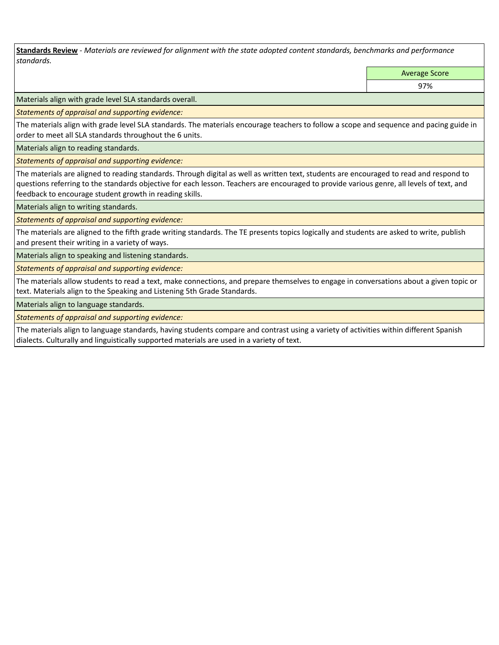**Standards Review** *- Materials are reviewed for alignment with the state adopted content standards, benchmarks and performance standards.*

Average Score

97%

Materials align with grade level SLA standards overall.

*Statements of appraisal and supporting evidence:* 

The materials align with grade level SLA standards. The materials encourage teachers to follow a scope and sequence and pacing guide in order to meet all SLA standards throughout the 6 units.

Materials align to reading standards.

*Statements of appraisal and supporting evidence:* 

The materials are aligned to reading standards. Through digital as well as written text, students are encouraged to read and respond to questions referring to the standards objective for each lesson. Teachers are encouraged to provide various genre, all levels of text, and feedback to encourage student growth in reading skills.

Materials align to writing standards.

*Statements of appraisal and supporting evidence:* 

The materials are aligned to the fifth grade writing standards. The TE presents topics logically and students are asked to write, publish and present their writing in a variety of ways.

Materials align to speaking and listening standards.

*Statements of appraisal and supporting evidence:* 

The materials allow students to read a text, make connections, and prepare themselves to engage in conversations about a given topic or text. Materials align to the Speaking and Listening 5th Grade Standards.

Materials align to language standards.

*Statements of appraisal and supporting evidence:* 

The materials align to language standards, having students compare and contrast using a variety of activities within different Spanish dialects. Culturally and linguistically supported materials are used in a variety of text.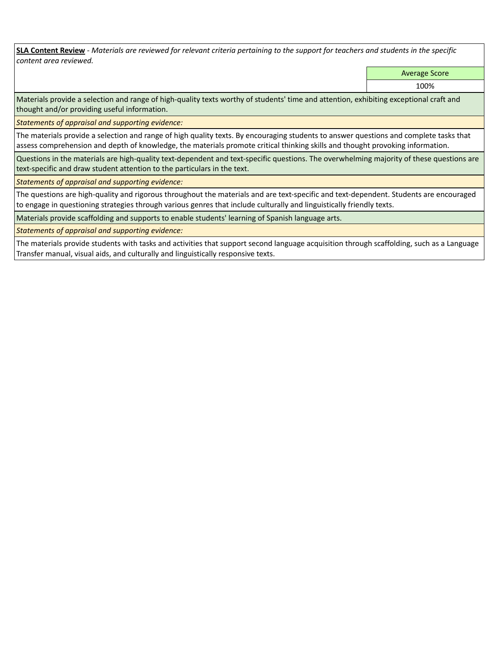**SLA Content Review** *- Materials are reviewed for relevant criteria pertaining to the support for teachers and students in the specific content area reviewed.*

Average Score

100%

Materials provide a selection and range of high-quality texts worthy of students' time and attention, exhibiting exceptional craft and thought and/or providing useful information.

*Statements of appraisal and supporting evidence:* 

The materials provide a selection and range of high quality texts. By encouraging students to answer questions and complete tasks that assess comprehension and depth of knowledge, the materials promote critical thinking skills and thought provoking information.

Questions in the materials are high-quality text-dependent and text-specific questions. The overwhelming majority of these questions are text-specific and draw student attention to the particulars in the text.

*Statements of appraisal and supporting evidence:* 

The questions are high-quality and rigorous throughout the materials and are text-specific and text-dependent. Students are encouraged to engage in questioning strategies through various genres that include culturally and linguistically friendly texts.

Materials provide scaffolding and supports to enable students' learning of Spanish language arts.

*Statements of appraisal and supporting evidence:* 

The materials provide students with tasks and activities that support second language acquisition through scaffolding, such as a Language Transfer manual, visual aids, and culturally and linguistically responsive texts.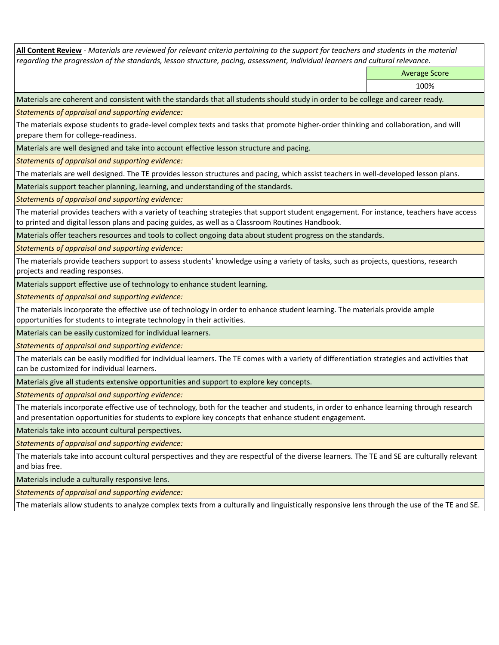**All Content Review** *- Materials are reviewed for relevant criteria pertaining to the support for teachers and students in the material regarding the progression of the standards, lesson structure, pacing, assessment, individual learners and cultural relevance.*

Average Score

100%

Materials are coherent and consistent with the standards that all students should study in order to be college and career ready.

*Statements of appraisal and supporting evidence:*

The materials expose students to grade-level complex texts and tasks that promote higher-order thinking and collaboration, and will prepare them for college-readiness.

Materials are well designed and take into account effective lesson structure and pacing.

*Statements of appraisal and supporting evidence:*

The materials are well designed. The TE provides lesson structures and pacing, which assist teachers in well-developed lesson plans.

Materials support teacher planning, learning, and understanding of the standards.

*Statements of appraisal and supporting evidence:*

The material provides teachers with a variety of teaching strategies that support student engagement. For instance, teachers have access to printed and digital lesson plans and pacing guides, as well as a Classroom Routines Handbook.

Materials offer teachers resources and tools to collect ongoing data about student progress on the standards.

*Statements of appraisal and supporting evidence:*

The materials provide teachers support to assess students' knowledge using a variety of tasks, such as projects, questions, research projects and reading responses.

Materials support effective use of technology to enhance student learning.

*Statements of appraisal and supporting evidence:*

The materials incorporate the effective use of technology in order to enhance student learning. The materials provide ample opportunities for students to integrate technology in their activities.

Materials can be easily customized for individual learners.

*Statements of appraisal and supporting evidence:* 

The materials can be easily modified for individual learners. The TE comes with a variety of differentiation strategies and activities that can be customized for individual learners.

Materials give all students extensive opportunities and support to explore key concepts.

*Statements of appraisal and supporting evidence:*

The materials incorporate effective use of technology, both for the teacher and students, in order to enhance learning through research and presentation opportunities for students to explore key concepts that enhance student engagement.

Materials take into account cultural perspectives.

*Statements of appraisal and supporting evidence:*

The materials take into account cultural perspectives and they are respectful of the diverse learners. The TE and SE are culturally relevant and bias free.

Materials include a culturally responsive lens.

*Statements of appraisal and supporting evidence:*

The materials allow students to analyze complex texts from a culturally and linguistically responsive lens through the use of the TE and SE.